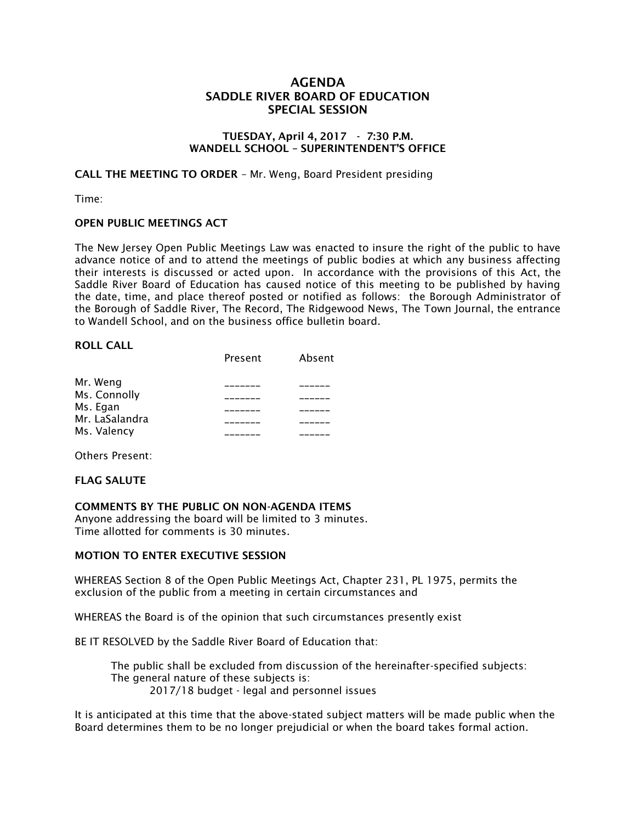## AGENDA SADDLE RIVER BOARD OF EDUCATION SPECIAL SESSION

### TUESDAY, April 4, 2017 - 7:30 P.M. WANDELL SCHOOL – SUPERINTENDENT'S OFFICE

CALL THE MEETING TO ORDER – Mr. Weng, Board President presiding

Time:

## OPEN PUBLIC MEETINGS ACT

The New Jersey Open Public Meetings Law was enacted to insure the right of the public to have advance notice of and to attend the meetings of public bodies at which any business affecting their interests is discussed or acted upon. In accordance with the provisions of this Act, the Saddle River Board of Education has caused notice of this meeting to be published by having the date, time, and place thereof posted or notified as follows: the Borough Administrator of the Borough of Saddle River, The Record, The Ridgewood News, The Town Journal, the entrance to Wandell School, and on the business office bulletin board.

#### ROLL CALL

|                | Present | Absent |
|----------------|---------|--------|
| Mr. Weng       |         |        |
| Ms. Connolly   |         |        |
| Ms. Egan       |         |        |
| Mr. LaSalandra |         |        |
| Ms. Valency    |         |        |

Others Present:

## FLAG SALUTE

COMMENTS BY THE PUBLIC ON NON-AGENDA ITEMS

Anyone addressing the board will be limited to 3 minutes. Time allotted for comments is 30 minutes.

## MOTION TO ENTER EXECUTIVE SESSION

WHEREAS Section 8 of the Open Public Meetings Act, Chapter 231, PL 1975, permits the exclusion of the public from a meeting in certain circumstances and

WHEREAS the Board is of the opinion that such circumstances presently exist

BE IT RESOLVED by the Saddle River Board of Education that:

 The public shall be excluded from discussion of the hereinafter-specified subjects: The general nature of these subjects is: 2017/18 budget - legal and personnel issues

It is anticipated at this time that the above-stated subject matters will be made public when the Board determines them to be no longer prejudicial or when the board takes formal action.